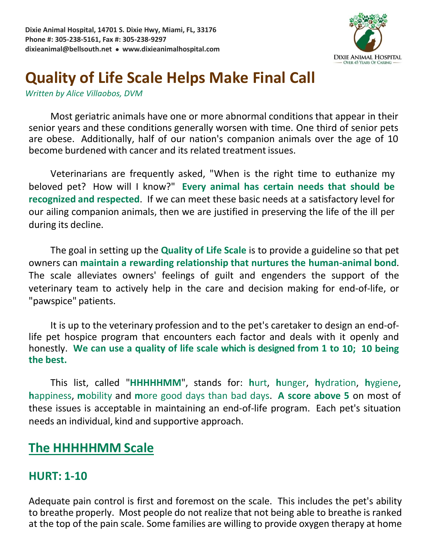

# **Quality of Life Scale Helps Make Final Call**

*Written by Alice Villaobos, DVM*

Most geriatric animals have one or more abnormal conditions that appear in their senior years and these conditions generally worsen with time. One third of senior pets are obese. Additionally, half of our nation's companion animals over the age of 10 become burdened with cancer and its related treatment issues.

Veterinarians are frequently asked, "When is the right time to euthanize my beloved pet? How will I know?" **Every animal has certain needs that should be recognized and respected**. If we can meet these basic needs at a satisfactory level for our ailing companion animals, then we are justified in preserving the life of the ill per during its decline.

The goal in setting up the **Quality of Life Scale** is to provide a guideline so that pet owners can **maintain a rewarding relationship that nurtures the human-animal bond**. The scale alleviates owners' feelings of guilt and engenders the support of the veterinary team to actively help in the care and decision making for end-of-life, or "pawspice" patients.

It is up to the veterinary profession and to the pet's caretaker to design an end-oflife pet hospice program that encounters each factor and deals with it openly and honestly. **We can use a quality of life scale which is designed from 1 to 10; 10 being the best.**

This list, called "**HHHHHMM**", stands for: **h**urt, **h**unger, **h**ydration, **h**ygiene, **h**appiness, **m**obility and **m**ore good days than bad days. **A score above 5** on most of these issues is acceptable in maintaining an end-of-life program. Each pet's situation needs an individual, kind and supportive approach.

# **The HHHHHMM Scale**

# **HURT: 1-10**

Adequate pain control is first and foremost on the scale. This includes the pet's ability to breathe properly. Most people do not realize that not being able to breathe is ranked at the top of the pain scale. Some families are willing to provide oxygen therapy at home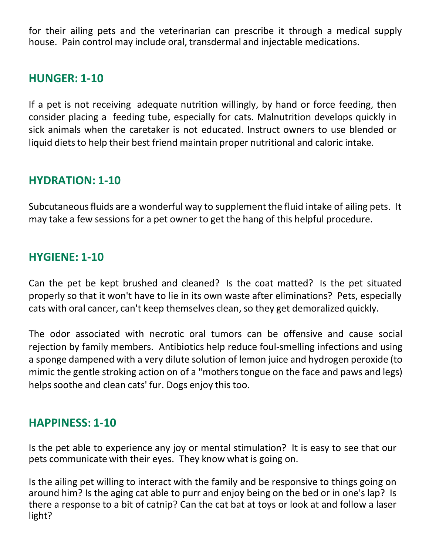for their ailing pets and the veterinarian can prescribe it through a medical supply house. Pain control may include oral, transdermal and injectable medications.

# **HUNGER: 1-10**

If a pet is not receiving adequate nutrition willingly, by hand or force feeding, then consider placing a feeding tube, especially for cats. Malnutrition develops quickly in sick animals when the caretaker is not educated. Instruct owners to use blended or liquid diets to help their best friend maintain proper nutritional and caloric intake.

#### **HYDRATION: 1-10**

Subcutaneous fluids are a wonderful way to supplement the fluid intake of ailing pets. It may take a few sessions for a pet owner to get the hang of this helpful procedure.

#### **HYGIENE: 1-10**

Can the pet be kept brushed and cleaned? Is the coat matted? Is the pet situated properly so that it won't have to lie in its own waste after eliminations? Pets, especially cats with oral cancer, can't keep themselves clean, so they get demoralized quickly.

The odor associated with necrotic oral tumors can be offensive and cause social rejection by family members. Antibiotics help reduce foul-smelling infections and using a sponge dampened with a very dilute solution of lemon juice and hydrogen peroxide (to mimic the gentle stroking action on of a "mothers tongue on the face and paws and legs) helps soothe and clean cats' fur. Dogs enjoy this too.

#### **HAPPINESS: 1-10**

Is the pet able to experience any joy or mental stimulation? It is easy to see that our pets communicate with their eyes. They know what is going on.

Is the ailing pet willing to interact with the family and be responsive to things going on around him? Is the aging cat able to purr and enjoy being on the bed or in one's lap? Is there a response to a bit of catnip? Can the cat bat at toys or look at and follow a laser light?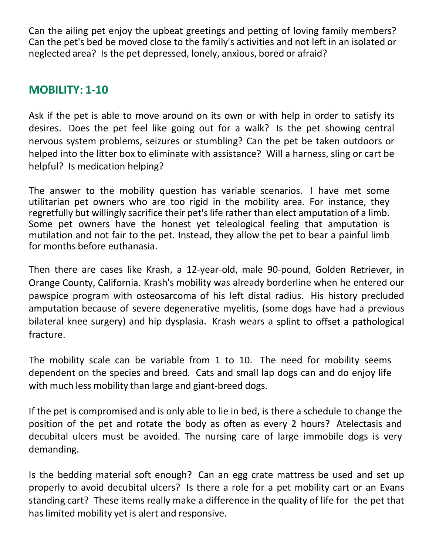Can the ailing pet enjoy the upbeat greetings and petting of loving family members? Can the pet's bed be moved close to the family's activities and not left in an isolated or neglected area? Is the pet depressed, lonely, anxious, bored or afraid?

# **MOBILITY: 1-10**

Ask if the pet is able to move around on its own or with help in order to satisfy its desires. Does the pet feel like going out for a walk? Is the pet showing central nervous system problems, seizures or stumbling? Can the pet be taken outdoors or helped into the litter box to eliminate with assistance? Will a harness, sling or cart be helpful? Is medication helping?

The answer to the mobility question has variable scenarios. I have met some utilitarian pet owners who are too rigid in the mobility area. For instance, they regretfully but willingly sacrifice their pet's life rather than elect amputation of a limb. Some pet owners have the honest yet teleological feeling that amputation is mutilation and not fair to the pet. Instead, they allow the pet to bear a painful limb for months before euthanasia.

Then there are cases like Krash, a 12-year-old, male 90-pound, Golden Retriever, in Orange County, California. Krash's mobility was already borderline when he entered our pawspice program with osteosarcoma of his left distal radius. His history precluded amputation because of severe degenerative myelitis, (some dogs have had a previous bilateral knee surgery) and hip dysplasia. Krash wears a splint to offset a pathological fracture.

The mobility scale can be variable from 1 to 10. The need for mobility seems dependent on the species and breed. Cats and small lap dogs can and do enjoy life with much less mobility than large and giant-breed dogs.

If the pet is compromised and is only able to lie in bed, is there a schedule to change the position of the pet and rotate the body as often as every 2 hours? Atelectasis and decubital ulcers must be avoided. The nursing care of large immobile dogs is very demanding.

Is the bedding material soft enough? Can an egg crate mattress be used and set up properly to avoid decubital ulcers? Is there a role for a pet mobility cart or an Evans standing cart? These items really make a difference in the quality of life for the pet that has limited mobility yet is alert and responsive.